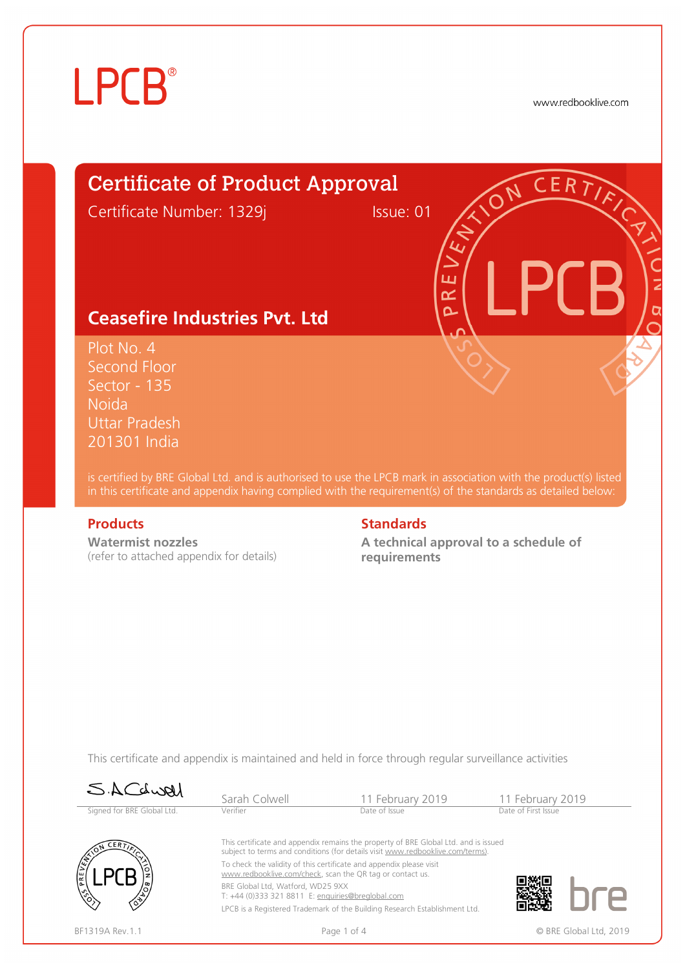www.redbooklive.com

# Certificate of Product Approval

Certificate Number: 1329j Issue: 01

ய œ  $\overline{\mathbf{C}}$ 

### **Ceasefire Industries Pvt. Ltd**

Plot No. 4 Second Floor Sector - 135 Noida Uttar Pradesh 201301 India

is certified by BRE Global Ltd. and is authorised to use the LPCB mark in association with the product(s) listed in this certificate and appendix having complied with the requirement(s) of the standards as detailed below:

**Watermist nozzles**  (refer to attached appendix for details)

#### **Products** Standards **Standards**

**A technical approval to a schedule of requirements**

This certificate and appendix is maintained and held in force through regular surveillance activities

| SACLURI                    | Sarah Colwell                                                                                                                                                         | 11 February 2019                                                           | 11 February 2019       |  |  |  |
|----------------------------|-----------------------------------------------------------------------------------------------------------------------------------------------------------------------|----------------------------------------------------------------------------|------------------------|--|--|--|
| Signed for BRE Global Ltd. | Verifier                                                                                                                                                              | Date of Issue                                                              | Date of First Issue    |  |  |  |
| <b>CERT</b>                | This certificate and appendix remains the property of BRE Global Ltd. and is issued<br>subject to terms and conditions (for details visit www.redbooklive.com/terms). |                                                                            |                        |  |  |  |
|                            | To check the validity of this certificate and appendix please visit<br>www.redbooklive.com/check, scan the QR tag or contact us.                                      |                                                                            |                        |  |  |  |
| /ຶ⊘                        | BRE Global Ltd. Watford. WD25 9XX<br>T: +44 (0)333 321 8811 E: enquiries@breglobal.com                                                                                |                                                                            |                        |  |  |  |
| ∕ે                         |                                                                                                                                                                       | LPCB is a Registered Trademark of the Building Research Establishment Ltd. |                        |  |  |  |
| BF1319A Rev. 1.1           |                                                                                                                                                                       | Page 1 of 4                                                                | © BRE Global Ltd, 2019 |  |  |  |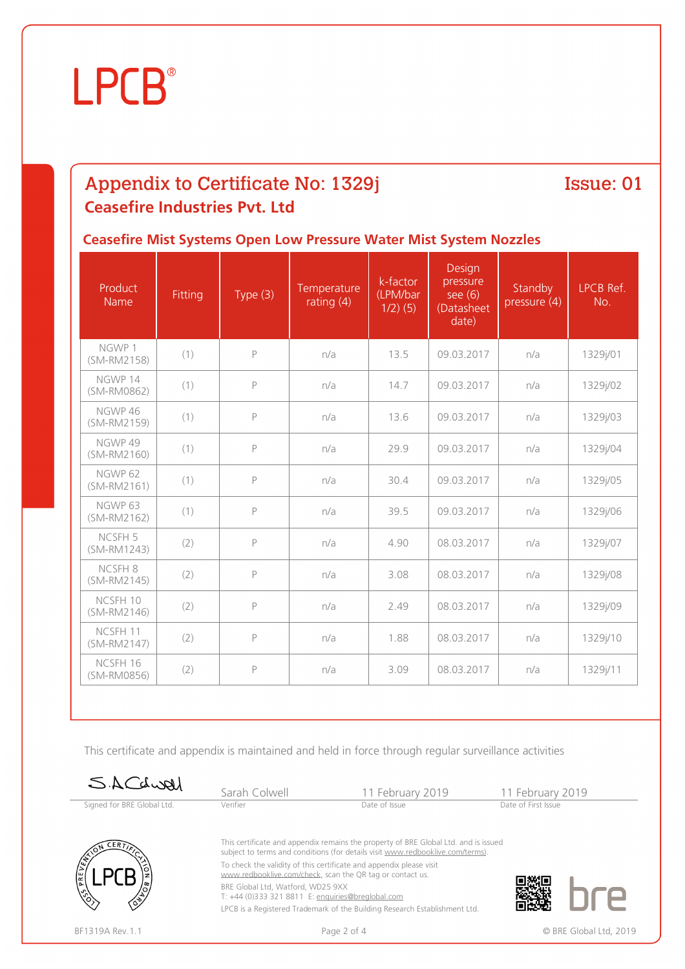## Appendix to Certificate No: 1329j **Ceasefire Industries Pvt. Ltd**

Issue: 01

### **Ceasefire Mist Systems Open Low Pressure Water Mist System Nozzles**

| Product<br>Name                   | Fitting | Type $(3)$   | Temperature<br>rating $(4)$ | k-factor<br>(LPM/bar<br>$1/2)$ (5) | Design<br>pressure<br>see $(6)$<br>(Datasheet<br>date) | Standby<br>pressure (4) | LPCB Ref.<br>No. |
|-----------------------------------|---------|--------------|-----------------------------|------------------------------------|--------------------------------------------------------|-------------------------|------------------|
| NGWP 1<br>(SM-RM2158)             | (1)     | $\mathsf{P}$ | n/a                         | 13.5                               | 09.03.2017                                             | n/a                     | 1329j/01         |
| NGWP 14<br>(SM-RM0862)            | (1)     | $\mathsf{P}$ | n/a                         | 14.7                               | 09.03.2017                                             | n/a                     | 1329j/02         |
| NGWP 46<br>(SM-RM2159)            | (1)     | $\mathsf{P}$ | n/a                         | 13.6                               | 09.03.2017                                             | n/a                     | 1329j/03         |
| NGWP 49<br>(SM-RM2160)            | (1)     | $\mathsf{P}$ | n/a                         | 29.9                               | 09.03.2017                                             | n/a                     | 1329j/04         |
| NGWP <sub>62</sub><br>(SM-RM2161) | (1)     | $\mathsf{P}$ | n/a                         | 30.4                               | 09.03.2017                                             | n/a                     | 1329j/05         |
| NGWP 63<br>(SM-RM2162)            | (1)     | $\mathsf{P}$ | n/a                         | 39.5                               | 09.03.2017                                             | n/a                     | 1329j/06         |
| NCSFH <sub>5</sub><br>(SM-RM1243) | (2)     | $\mathsf{P}$ | n/a                         | 4.90                               | 08.03.2017                                             | n/a                     | 1329j/07         |
| NCSFH 8<br>(SM-RM2145)            | (2)     | $\mathsf{P}$ | n/a                         | 3.08                               | 08.03.2017                                             | n/a                     | 1329j/08         |
| NCSFH 10<br>(SM-RM2146)           | (2)     | $\mathsf{P}$ | n/a                         | 2.49                               | 08.03.2017                                             | n/a                     | 1329j/09         |
| NCSFH 11<br>(SM-RM2147)           | (2)     | $\mathsf{P}$ | n/a                         | 1.88                               | 08.03.2017                                             | n/a                     | 1329j/10         |
| NCSFH 16<br>(SM-RM0856)           | (2)     | $\mathsf{P}$ | n/a                         | 3.09                               | 08.03.2017                                             | n/a                     | 1329j/11         |

This certificate and appendix is maintained and held in force through regular surveillance activities

| SACLURI                                   | Sarah Colwell                                                                                                                    | 11 February 2019                                                                                                                                                      | 11 February 2019    |  |  |
|-------------------------------------------|----------------------------------------------------------------------------------------------------------------------------------|-----------------------------------------------------------------------------------------------------------------------------------------------------------------------|---------------------|--|--|
| Signed for BRE Global Ltd.                | Verifier                                                                                                                         | Date of Issue                                                                                                                                                         | Date of First Issue |  |  |
| CERT                                      |                                                                                                                                  | This certificate and appendix remains the property of BRE Global Ltd. and is issued<br>subject to terms and conditions (for details visit www.redbooklive.com/terms). |                     |  |  |
| <b>SER</b><br><b>PKE</b>                  | To check the validity of this certificate and appendix please visit<br>www.redbooklive.com/check, scan the QR tag or contact us. |                                                                                                                                                                       |                     |  |  |
| /రి<br>$\langle \hat{\mathbf{e}} \rangle$ | BRE Global Ltd, Watford, WD25 9XX<br>T: +44 (0)333 321 8811 E: enquiries@brealobal.com                                           |                                                                                                                                                                       |                     |  |  |
|                                           |                                                                                                                                  | LPCB is a Registered Trademark of the Building Research Establishment Ltd.                                                                                            |                     |  |  |

BF1319A Rev.1.1 **Example 2 of 4** Page 2 of 4 **CONFIDENT** CONFIDENTIAL Rev.1.1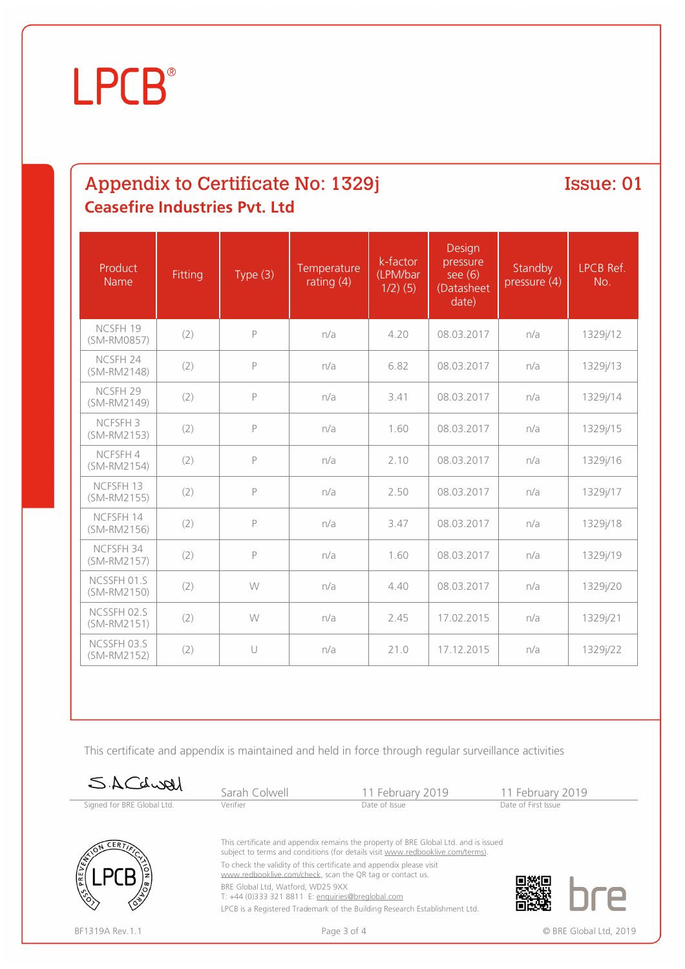# Appendix to Certificate No: 1329j **Ceasefire Industries Pvt. Ltd**

Issue: 01

| Product<br>Name                    | Fitting | Type $(3)$   | Temperature<br>rating $(4)$ | k-factor<br>(LPM/bar<br>$1/2)$ (5) | Design<br>pressure<br>see $(6)$<br>(Datasheet<br>date) | Standby<br>pressure (4) | LPCB Ref.<br>No. |
|------------------------------------|---------|--------------|-----------------------------|------------------------------------|--------------------------------------------------------|-------------------------|------------------|
| NCSFH 19<br>(SM-RM0857)            | (2)     | $\mathsf{P}$ | n/a                         | 4.20                               | 08.03.2017                                             | n/a                     | 1329j/12         |
| NCSFH 24<br>(SM-RM2148)            | (2)     | $\mathsf{P}$ | n/a                         | 6.82                               | 08.03.2017                                             | n/a                     | 1329j/13         |
| NCSFH <sub>29</sub><br>(SM-RM2149) | (2)     | P            | n/a                         | 3.41                               | 08.03.2017                                             | n/a                     | 1329j/14         |
| NCFSFH <sub>3</sub><br>(SM-RM2153) | (2)     | P            | n/a                         | 1.60                               | 08.03.2017                                             | n/a                     | 1329j/15         |
| NCFSFH 4<br>(SM-RM2154)            | (2)     | P            | n/a                         | 2.10                               | 08.03.2017                                             | n/a                     | 1329j/16         |
| NCFSFH 13<br>(SM-RM2155)           | (2)     | P            | n/a                         | 2.50                               | 08.03.2017                                             | n/a                     | 1329j/17         |
| NCFSFH 14<br>(SM-RM2156)           | (2)     | P            | n/a                         | 3.47                               | 08.03.2017                                             | n/a                     | 1329j/18         |
| NCFSFH 34<br>(SM-RM2157)           | (2)     | P            | n/a                         | 1.60                               | 08.03.2017                                             | n/a                     | 1329j/19         |
| NCSSFH 01.S<br>(SM-RM2150)         | (2)     | W            | n/a                         | 4.40                               | 08.03.2017                                             | n/a                     | 1329j/20         |
| NCSSFH 02.S<br>(SM-RM2151)         | (2)     | W            | n/a                         | 2.45                               | 17.02.2015                                             | n/a                     | 1329j/21         |
| NCSSFH 03.S<br>(SM-RM2152)         | (2)     | $\cup$       | n/a                         | 21.0                               | 17.12.2015                                             | n/a                     | 1329j/22         |

This certificate and appendix is maintained and held in force through regular surveillance activities

| SACdwell                      | Sarah Colwell                                                                                                                    | 11 February 2019                                                                                                                                                      | 11 February 2019    |  |  |
|-------------------------------|----------------------------------------------------------------------------------------------------------------------------------|-----------------------------------------------------------------------------------------------------------------------------------------------------------------------|---------------------|--|--|
| Signed for BRE Global Ltd.    | Verifier                                                                                                                         | Date of Issue                                                                                                                                                         | Date of First Issue |  |  |
| CERT                          |                                                                                                                                  | This certificate and appendix remains the property of BRE Global Ltd. and is issued<br>subject to terms and conditions (for details visit www.redbooklive.com/terms). |                     |  |  |
| $\mathbb{R}^2$<br>E           | To check the validity of this certificate and appendix please visit<br>www.redbooklive.com/check, scan the QR tag or contact us. |                                                                                                                                                                       |                     |  |  |
| $\hat{\mathcal{O}}^{\bullet}$ | BRE Global Ltd, Watford, WD25 9XX<br>T: +44 (0)333 321 8811 E: enquiries@breglobal.com                                           |                                                                                                                                                                       |                     |  |  |
|                               |                                                                                                                                  | LPCB is a Registered Trademark of the Building Research Establishment Ltd.                                                                                            |                     |  |  |

BF1319A Rev.1.1 **Example 2 of 4** Page 3 of 4 **Page 3 of 4** C BRE Global Ltd, 2019